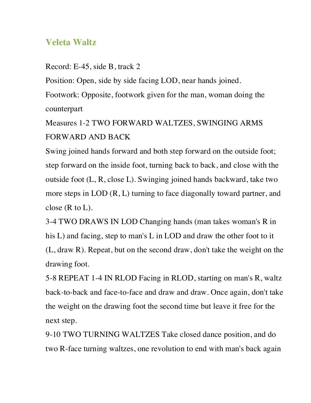## **Veleta Waltz**

Record: E-45, side B, track 2

Position: Open, side by side facing LOD, near hands joined.

Footwork: Opposite, footwork given for the man, woman doing the counterpart

Measures 1-2 TWO FORWARD WALTZES, SWINGING ARMS FORWARD AND BACK

Swing joined hands forward and both step forward on the outside foot; step forward on the inside foot, turning back to back, and close with the outside foot (L, R, close L). Swinging joined hands backward, take two more steps in LOD (R, L) turning to face diagonally toward partner, and close  $(R \text{ to } L)$ .

3-4 TWO DRAWS IN LOD Changing hands (man takes woman's R in his L) and facing, step to man's L in LOD and draw the other foot to it (L, draw R). Repeat, but on the second draw, don't take the weight on the drawing foot.

5-8 REPEAT 1-4 IN RLOD Facing in RLOD, starting on man's R, waltz back-to-back and face-to-face and draw and draw. Once again, don't take the weight on the drawing foot the second time but leave it free for the next step.

9-10 TWO TURNING WALTZES Take closed dance position, and do two R-face turning waltzes, one revolution to end with man's back again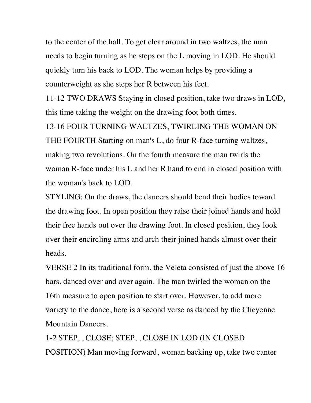to the center of the hall. To get clear around in two waltzes, the man needs to begin turning as he steps on the L moving in LOD. He should quickly turn his back to LOD. The woman helps by providing a counterweight as she steps her R between his feet.

11-12 TWO DRAWS Staying in closed position, take two draws in LOD, this time taking the weight on the drawing foot both times.

13-16 FOUR TURNING WALTZES, TWIRLING THE WOMAN ON THE FOURTH Starting on man's L, do four R-face turning waltzes, making two revolutions. On the fourth measure the man twirls the woman R-face under his L and her R hand to end in closed position with the woman's back to LOD.

STYLING: On the draws, the dancers should bend their bodies toward the drawing foot. In open position they raise their joined hands and hold their free hands out over the drawing foot. In closed position, they look over their encircling arms and arch their joined hands almost over their heads.

VERSE 2 In its traditional form, the Veleta consisted of just the above 16 bars, danced over and over again. The man twirled the woman on the 16th measure to open position to start over. However, to add more variety to the dance, here is a second verse as danced by the Cheyenne Mountain Dancers.

1-2 STEP, , CLOSE; STEP, , CLOSE IN LOD (IN CLOSED POSITION) Man moving forward, woman backing up, take two canter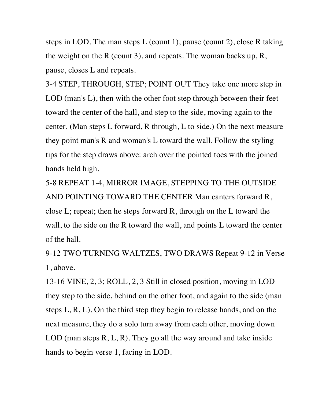steps in LOD. The man steps L (count 1), pause (count 2), close R taking the weight on the R (count 3), and repeats. The woman backs up, R, pause, closes L and repeats.

3-4 STEP, THROUGH, STEP; POINT OUT They take one more step in LOD (man's L), then with the other foot step through between their feet toward the center of the hall, and step to the side, moving again to the center. (Man steps L forward, R through, L to side.) On the next measure they point man's R and woman's L toward the wall. Follow the styling tips for the step draws above: arch over the pointed toes with the joined hands held high.

5-8 REPEAT 1-4, MIRROR IMAGE, STEPPING TO THE OUTSIDE AND POINTING TOWARD THE CENTER Man canters forward R, close L; repeat; then he steps forward R, through on the L toward the wall, to the side on the R toward the wall, and points L toward the center of the hall.

9-12 TWO TURNING WALTZES, TWO DRAWS Repeat 9-12 in Verse 1, above.

13-16 VINE, 2, 3; ROLL, 2, 3 Still in closed position, moving in LOD they step to the side, behind on the other foot, and again to the side (man steps L, R, L). On the third step they begin to release hands, and on the next measure, they do a solo turn away from each other, moving down LOD (man steps  $R, L, R$ ). They go all the way around and take inside hands to begin verse 1, facing in LOD.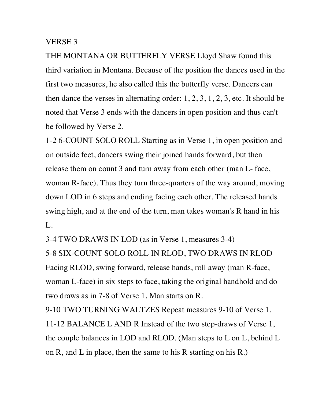## VERSE 3

THE MONTANA OR BUTTERFLY VERSE Lloyd Shaw found this third variation in Montana. Because of the position the dances used in the first two measures, he also called this the butterfly verse. Dancers can then dance the verses in alternating order:  $1, 2, 3, 1, 2, 3$ , etc. It should be noted that Verse 3 ends with the dancers in open position and thus can't be followed by Verse 2.

1-2 6-COUNT SOLO ROLL Starting as in Verse 1, in open position and on outside feet, dancers swing their joined hands forward, but then release them on count 3 and turn away from each other (man L- face, woman R-face). Thus they turn three-quarters of the way around, moving down LOD in 6 steps and ending facing each other. The released hands swing high, and at the end of the turn, man takes woman's R hand in his L.

3-4 TWO DRAWS IN LOD (as in Verse 1, measures 3-4)

5-8 SIX-COUNT SOLO ROLL IN RLOD, TWO DRAWS IN RLOD Facing RLOD, swing forward, release hands, roll away (man R-face, woman L-face) in six steps to face, taking the original handhold and do two draws as in 7-8 of Verse 1. Man starts on R.

9-10 TWO TURNING WALTZES Repeat measures 9-10 of Verse 1.

11-12 BALANCE L AND R Instead of the two step-draws of Verse 1, the couple balances in LOD and RLOD. (Man steps to L on L, behind L on R, and L in place, then the same to his R starting on his R.)